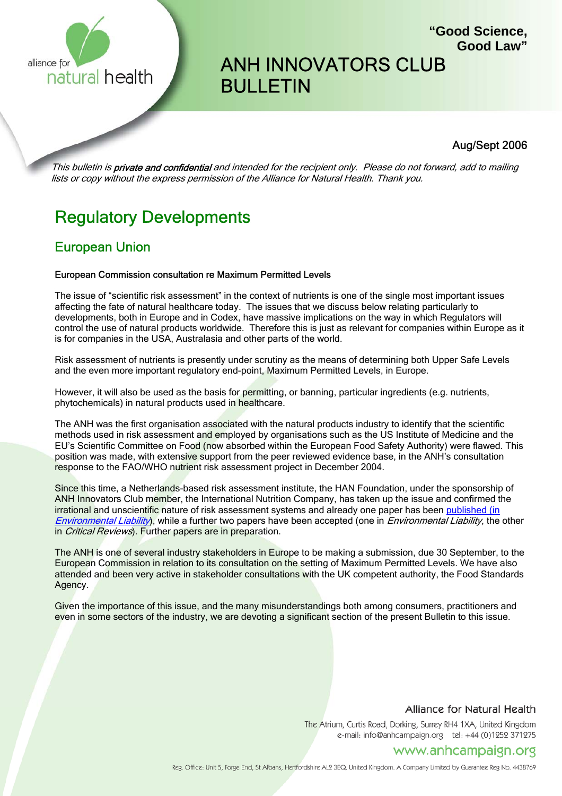

# ANH INNOVATORS CLUB BULLETIN

# Aug/Sept 2006

**"Good Science,**

**Good Law"**

This bulletin is **private and confidential** and intended for the recipient only. Please do not forward, add to mailing lists or copy without the express permission of the Alliance for Natural Health. Thank you.

# Regulatory Developments

# European Union

# European Commission consultation re Maximum Permitted Levels

The issue of "scientific risk assessment" in the context of nutrients is one of the single most important issues affecting the fate of natural healthcare today. The issues that we discuss below relating particularly to developments, both in Europe and in Codex, have massive implications on the way in which Regulators will control the use of natural products worldwide. Therefore this is just as relevant for companies within Europe as it is for companies in the USA, Australasia and other parts of the world.

Risk assessment of nutrients is presently under scrutiny as the means of determining both Upper Safe Levels and the even more important regulatory end-point, Maximum Permitted Levels, in Europe.

However, it will also be used as the basis for permitting, or banning, particular ingredients (e.g. nutrients, phytochemicals) in natural products used in healthcare.

The ANH was the first organisation associated with the natural products industry to identify that the scientific methods used in risk assessment and employed by organisations such as the US Institute of Medicine and the EU's Scientific Committee on Food (now absorbed within the European Food Safety Authority) were flawed. This position was made, with extensive support from the peer reviewed evidence base, in the ANH's consultation response to the FAO/WHO nutrient risk assessment project in December 2004.

Since this time, a Netherlands-based risk assessment institute, the HAN Foundation, under the sponsorship of ANH Innovators Club member, the International Nutrition Company, has taken up the issue and confirmed the irrational and unscientific nature of risk assessment systems and already one paper has been published (in Environmental Liability), while a further two papers have been accepted (one in Environmental Liability, the other in *Critical Reviews*). Further papers are in preparation.

The ANH is one of several industry stakeholders in Europe to be making a submission, due 30 September, to the European Commission in relation to its consultation on the setting of Maximum Permitted Levels. We have also attended and been very active in stakeholder consultations with the UK competent authority, the Food Standards Agency.

Given the importance of this issue, and the many misunderstandings both among consumers, practitioners and even in some sectors of the industry, we are devoting a significant section of the present Bulletin to this issue.

# Alliance for Natural Health

The Atrium, Curtis Road, Dorking, Surrey RH4 1XA, United Kingdom e-mail: info@anhcampaign.org tel: +44 (0)1252 371275

# www.anhcampaign.org

Reg. Office: Unit 5, Forge End, St Albans, Hertfordshire AL2 3EQ, United Kingdom. A Company Limited by Guarantee Reg No. 4438769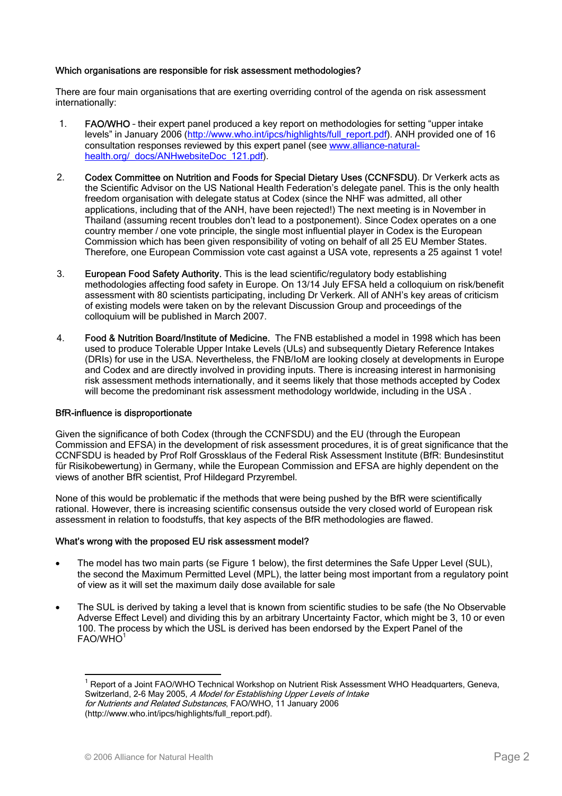# Which organisations are responsible for risk assessment methodologies?

There are four main organisations that are exerting overriding control of the agenda on risk assessment internationally:

- 1. FAO/WHO their expert panel produced a key report on methodologies for setting "upper intake levels" in January 2006 (http://www.who.int/ipcs/highlights/full\_report.pdf). ANH provided one of 16 consultation responses reviewed by this expert panel (see www.alliance-naturalhealth.org/\_docs/ANHwebsiteDoc\_121.pdf).
- 2. Codex Committee on Nutrition and Foods for Special Dietary Uses (CCNFSDU). Dr Verkerk acts as the Scientific Advisor on the US National Health Federation's delegate panel. This is the only health freedom organisation with delegate status at Codex (since the NHF was admitted, all other applications, including that of the ANH, have been rejected!) The next meeting is in November in Thailand (assuming recent troubles don't lead to a postponement). Since Codex operates on a one country member / one vote principle, the single most influential player in Codex is the European Commission which has been given responsibility of voting on behalf of all 25 EU Member States. Therefore, one European Commission vote cast against a USA vote, represents a 25 against 1 vote!
- 3. European Food Safety Authority. This is the lead scientific/regulatory body establishing methodologies affecting food safety in Europe. On 13/14 July EFSA held a colloquium on risk/benefit assessment with 80 scientists participating, including Dr Verkerk. All of ANH's key areas of criticism of existing models were taken on by the relevant Discussion Group and proceedings of the colloquium will be published in March 2007.
- 4. Food & Nutrition Board/Institute of Medicine. The FNB established a model in 1998 which has been used to produce Tolerable Upper Intake Levels (ULs) and subsequently Dietary Reference Intakes (DRIs) for use in the USA. Nevertheless, the FNB/IoM are looking closely at developments in Europe and Codex and are directly involved in providing inputs. There is increasing interest in harmonising risk assessment methods internationally, and it seems likely that those methods accepted by Codex will become the predominant risk assessment methodology worldwide, including in the USA .

#### BfR-influence is disproportionate

Given the significance of both Codex (through the CCNFSDU) and the EU (through the European Commission and EFSA) in the development of risk assessment procedures, it is of great significance that the CCNFSDU is headed by Prof Rolf Grossklaus of the Federal Risk Assessment Institute (BfR: Bundesinstitut für Risikobewertung) in Germany, while the European Commission and EFSA are highly dependent on the views of another BfR scientist, Prof Hildegard Przyrembel.

None of this would be problematic if the methods that were being pushed by the BfR were scientifically rational. However, there is increasing scientific consensus outside the very closed world of European risk assessment in relation to foodstuffs, that key aspects of the BfR methodologies are flawed.

#### What's wrong with the proposed EU risk assessment model?

- The model has two main parts (se Figure 1 below), the first determines the Safe Upper Level (SUL), the second the Maximum Permitted Level (MPL), the latter being most important from a regulatory point of view as it will set the maximum daily dose available for sale
- The SUL is derived by taking a level that is known from scientific studies to be safe (the No Observable Adverse Effect Level) and dividing this by an arbitrary Uncertainty Factor, which might be 3, 10 or even 100. The process by which the USL is derived has been endorsed by the Expert Panel of the FAO/WHO<sup>1</sup>

 $\overline{a}$ 

<sup>&</sup>lt;sup>1</sup> Report of a Joint FAO/WHO Technical Workshop on Nutrient Risk Assessment WHO Headquarters, Geneva, Switzerland, 2-6 May 2005, A Model for Establishing Upper Levels of Intake for Nutrients and Related Substances, FAO/WHO, 11 January 2006 (http://www.who.int/ipcs/highlights/full\_report.pdf).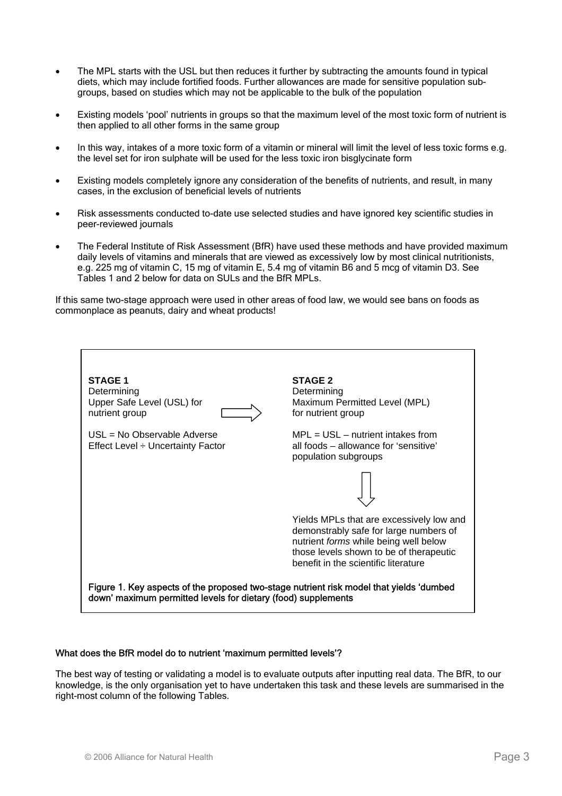- The MPL starts with the USL but then reduces it further by subtracting the amounts found in typical diets, which may include fortified foods. Further allowances are made for sensitive population subgroups, based on studies which may not be applicable to the bulk of the population
- Existing models 'pool' nutrients in groups so that the maximum level of the most toxic form of nutrient is then applied to all other forms in the same group
- In this way, intakes of a more toxic form of a vitamin or mineral will limit the level of less toxic forms e.g. the level set for iron sulphate will be used for the less toxic iron bisglycinate form
- Existing models completely ignore any consideration of the benefits of nutrients, and result, in many cases, in the exclusion of beneficial levels of nutrients
- Risk assessments conducted to-date use selected studies and have ignored key scientific studies in peer-reviewed journals
- The Federal Institute of Risk Assessment (BfR) have used these methods and have provided maximum daily levels of vitamins and minerals that are viewed as excessively low by most clinical nutritionists, e.g. 225 mg of vitamin C, 15 mg of vitamin E, 5.4 mg of vitamin B6 and 5 mcg of vitamin D3. See Tables 1 and 2 below for data on SULs and the BfR MPLs.

If this same two-stage approach were used in other areas of food law, we would see bans on foods as commonplace as peanuts, dairy and wheat products!



#### What does the BfR model do to nutrient 'maximum permitted levels'?

The best way of testing or validating a model is to evaluate outputs after inputting real data. The BfR, to our knowledge, is the only organisation yet to have undertaken this task and these levels are summarised in the right-most column of the following Tables.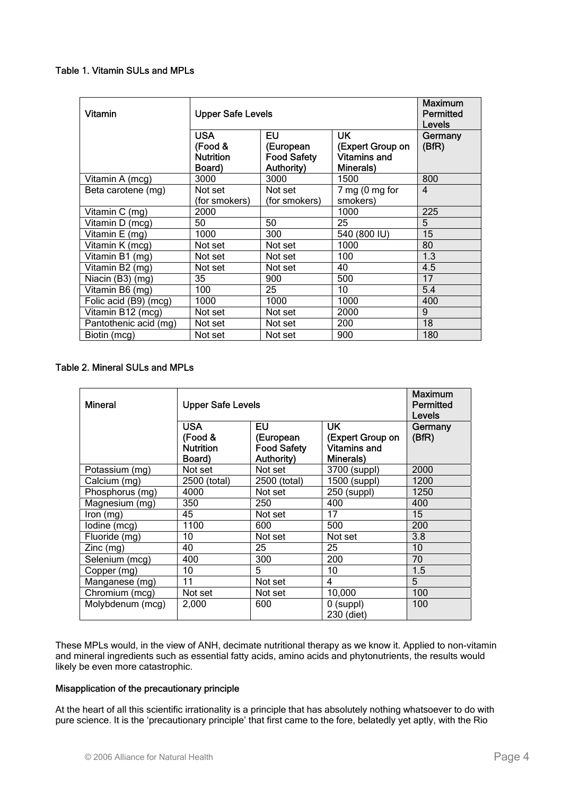# Table 1. Vitamin SULs and MPLs

| Vitamin               | <b>Upper Safe Levels</b>                            | <b>Maximum</b><br>Permitted<br>Levels               |                                                                   |                  |
|-----------------------|-----------------------------------------------------|-----------------------------------------------------|-------------------------------------------------------------------|------------------|
|                       | <b>USA</b><br>(Food &<br><b>Nutrition</b><br>Board) | EU<br>(European<br><b>Food Safety</b><br>Authority) | <b>UK</b><br>(Expert Group on<br><b>Vitamins and</b><br>Minerals) | Germany<br>(BfR) |
| Vitamin A (mcg)       | 3000                                                | 3000                                                | 1500                                                              | 800              |
| Beta carotene (mg)    | Not set<br>(for smokers)                            | Not set<br>(for smokers)                            | $7$ mg (0 mg for<br>smokers)                                      | $\overline{4}$   |
| Vitamin C (mg)        | 2000                                                |                                                     | 1000                                                              | 225              |
| Vitamin D (mcg)       | 50                                                  | 50                                                  | 25                                                                | 5                |
| Vitamin E (mg)        | 1000                                                | 300                                                 | 540 (800 IU)                                                      | 15               |
| Vitamin K (mcg)       | Not set                                             | Not set                                             | 1000                                                              | 80               |
| Vitamin B1 (mg)       | Not set                                             | Not set                                             | 100                                                               | 1.3              |
| Vitamin B2 (mg)       | Not set                                             | Not set                                             | 40                                                                | 4.5              |
| Niacin (B3) (mg)      | 35                                                  | 900                                                 | 500                                                               | 17               |
| Vitamin B6 (mg)       | 100                                                 | 25                                                  | 10                                                                | 5.4              |
| Folic acid (B9) (mcg) | 1000                                                | 1000                                                | 1000                                                              | 400              |
| Vitamin B12 (mcg)     | Not set                                             | Not set                                             | 2000                                                              | 9                |
| Pantothenic acid (mg) | Not set                                             | Not set                                             | 200                                                               | 18               |
| Biotin (mcg)          | Not set                                             | Not set                                             | 900                                                               | 180              |

# Table 2. Mineral SULs and MPLs

| <b>Mineral</b>   | <b>Upper Safe Levels</b>                            | <b>Maximum</b><br>Permitted<br>Levels                      |                                                                           |                  |
|------------------|-----------------------------------------------------|------------------------------------------------------------|---------------------------------------------------------------------------|------------------|
|                  | <b>USA</b><br>(Food &<br><b>Nutrition</b><br>Board) | EU<br>(European<br><b>Food Safety</b><br><b>Authority)</b> | <b>UK</b><br>(Expert Group on<br><b>Vitamins and</b><br><b>Minerals</b> ) | Germany<br>(BfR) |
| Potassium (mg)   | Not set                                             | Not set                                                    | 3700 (suppl)                                                              | 2000             |
| Calcium (mg)     | 2500 (total)                                        | 2500 (total)                                               | 1500 (suppl)                                                              | 1200             |
| Phosphorus (mg)  | 4000                                                | Not set                                                    | 250 (suppl)                                                               | 1250             |
| Magnesium (mg)   | 350                                                 | 250                                                        | 400                                                                       | 400              |
| lron (mg)        | 45                                                  | Not set                                                    | 17                                                                        | 15               |
| lodine (mcg)     | 1100                                                | 600                                                        | 500                                                                       | 200              |
| Fluoride (mg)    | 10                                                  | Not set                                                    | Not set                                                                   | 3.8              |
| $Zinc$ (mg)      | 40                                                  | 25                                                         | 25                                                                        | 10               |
| Selenium (mcg)   | 400                                                 | 300                                                        | 200                                                                       | 70               |
| Copper (mg)      | 10                                                  | 5                                                          | 10                                                                        | 1.5              |
| Manganese (mg)   | 11                                                  | Not set                                                    | 4                                                                         | 5                |
| Chromium (mcg)   | Not set                                             | Not set                                                    | 10,000                                                                    | 100              |
| Molybdenum (mcg) | 2,000                                               | 600                                                        | $0$ (suppl)<br>230 (diet)                                                 | 100              |

These MPLs would, in the view of ANH, decimate nutritional therapy as we know it. Applied to non-vitamin and mineral ingredients such as essential fatty acids, amino acids and phytonutrients, the results would likely be even more catastrophic.

# Misapplication of the precautionary principle

At the heart of all this scientific irrationality is a principle that has absolutely nothing whatsoever to do with pure science. It is the 'precautionary principle' that first came to the fore, belatedly yet aptly, with the Rio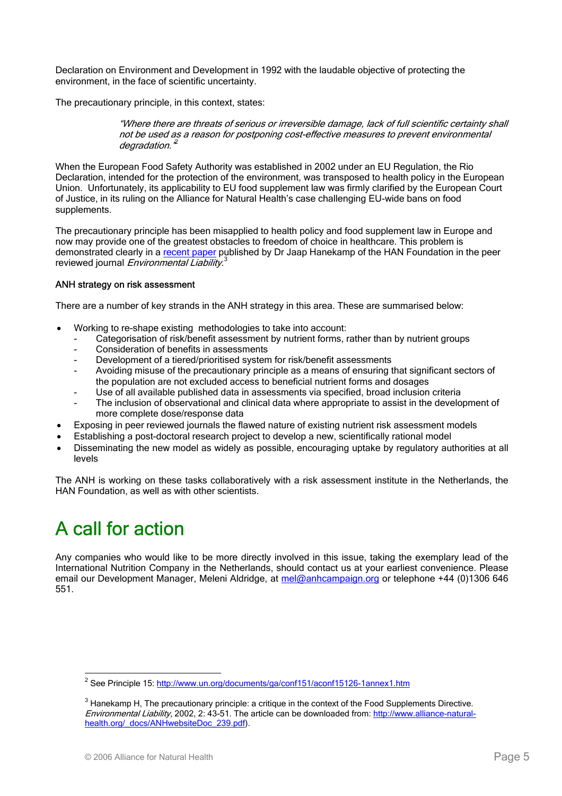Declaration on Environment and Development in 1992 with the laudable objective of protecting the environment, in the face of scientific uncertainty.

The precautionary principle, in this context, states:

"Where there are threats of serious or irreversible damage, lack of full scientific certainty shall not be used as a reason for postponing cost-effective measures to prevent environmental degradation.

When the European Food Safety Authority was established in 2002 under an EU Regulation, the Rio Declaration, intended for the protection of the environment, was transposed to health policy in the European Union. Unfortunately, its applicability to EU food supplement law was firmly clarified by the European Court of Justice, in its ruling on the Alliance for Natural Health's case challenging EU-wide bans on food supplements.

The precautionary principle has been misapplied to health policy and food supplement law in Europe and now may provide one of the greatest obstacles to freedom of choice in healthcare. This problem is demonstrated clearly in a recent paper published by Dr Jaap Hanekamp of the HAN Foundation in the peer reviewed journal *Environmental Liability*.<sup>3</sup>

# ANH strategy on risk assessment

There are a number of key strands in the ANH strategy in this area. These are summarised below:

- Working to re-shape existing methodologies to take into account:
	- Categorisation of risk/benefit assessment by nutrient forms, rather than by nutrient groups
	- Consideration of benefits in assessments
	- Development of a tiered/prioritised system for risk/benefit assessments
	- Avoiding misuse of the precautionary principle as a means of ensuring that significant sectors of the population are not excluded access to beneficial nutrient forms and dosages
	- Use of all available published data in assessments via specified, broad inclusion criteria
	- The inclusion of observational and clinical data where appropriate to assist in the development of more complete dose/response data
- Exposing in peer reviewed journals the flawed nature of existing nutrient risk assessment models
- Establishing a post-doctoral research project to develop a new, scientifically rational model
- Disseminating the new model as widely as possible, encouraging uptake by regulatory authorities at all levels

The ANH is working on these tasks collaboratively with a risk assessment institute in the Netherlands, the HAN Foundation, as well as with other scientists.

# A call for action

Any companies who would like to be more directly involved in this issue, taking the exemplary lead of the International Nutrition Company in the Netherlands, should contact us at your earliest convenience. Please email our Development Manager, Meleni Aldridge, at mel@anhcampaign.org or telephone +44 (0)1306 646 551.

<sup>&</sup>lt;u>2</u><br>2 See Principle 15: <u>http://www.un.org/documents/ga/conf151/aconf15126-1annex1.htm</u>

 $3$  Hanekamp H, The precautionary principle: a critique in the context of the Food Supplements Directive. Environmental Liability, 2002, 2: 43-51. The article can be downloaded from: http://www.alliance-naturalhealth.org/\_docs/ANHwebsiteDoc\_239.pdf).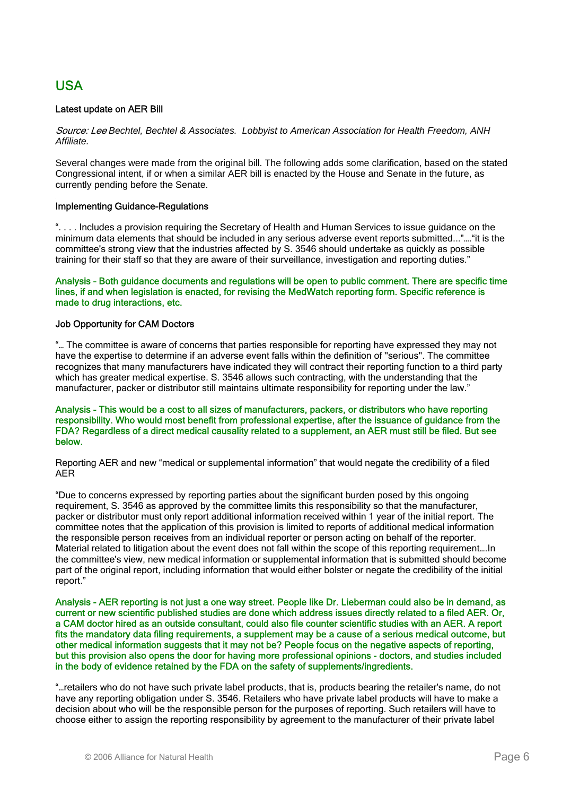# USA

# Latest update on AER Bill

Source: Lee *Bechtel, Bechtel & Associates. Lobbyist to American Association for Health Freedom, ANH Affiliate.* 

Several changes were made from the original bill. The following adds some clarification, based on the stated Congressional intent, if or when a similar AER bill is enacted by the House and Senate in the future, as currently pending before the Senate.

# Implementing Guidance-Regulations

". . . . Includes a provision requiring the Secretary of Health and Human Services to issue guidance on the minimum data elements that should be included in any serious adverse event reports submitted..."…."it is the committee's strong view that the industries affected by S. 3546 should undertake as quickly as possible training for their staff so that they are aware of their surveillance, investigation and reporting duties."

## Analysis - Both guidance documents and regulations will be open to public comment. There are specific time lines, if and when legislation is enacted, for revising the MedWatch reporting form. Specific reference is made to drug interactions, etc.

# Job Opportunity for CAM Doctors

"… The committee is aware of concerns that parties responsible for reporting have expressed they may not have the expertise to determine if an adverse event falls within the definition of ''serious''. The committee recognizes that many manufacturers have indicated they will contract their reporting function to a third party which has greater medical expertise. S. 3546 allows such contracting, with the understanding that the manufacturer, packer or distributor still maintains ultimate responsibility for reporting under the law."

#### Analysis - This would be a cost to all sizes of manufacturers, packers, or distributors who have reporting responsibility. Who would most benefit from professional expertise, after the issuance of guidance from the FDA? Regardless of a direct medical causality related to a supplement, an AER must still be filed. But see below.

Reporting AER and new "medical or supplemental information" that would negate the credibility of a filed AER

"Due to concerns expressed by reporting parties about the significant burden posed by this ongoing requirement, S. 3546 as approved by the committee limits this responsibility so that the manufacturer, packer or distributor must only report additional information received within 1 year of the initial report. The committee notes that the application of this provision is limited to reports of additional medical information the responsible person receives from an individual reporter or person acting on behalf of the reporter. Material related to litigation about the event does not fall within the scope of this reporting requirement….In the committee's view, new medical information or supplemental information that is submitted should become part of the original report, including information that would either bolster or negate the credibility of the initial report."

Analysis - AER reporting is not just a one way street. People like Dr. Lieberman could also be in demand, as current or new scientific published studies are done which address issues directly related to a filed AER. Or, a CAM doctor hired as an outside consultant, could also file counter scientific studies with an AER. A report fits the mandatory data filing requirements, a supplement may be a cause of a serious medical outcome, but other medical information suggests that it may not be? People focus on the negative aspects of reporting, but this provision also opens the door for having more professional opinions - doctors, and studies included in the body of evidence retained by the FDA on the safety of supplements/ingredients.

"…retailers who do not have such private label products, that is, products bearing the retailer's name, do not have any reporting obligation under S. 3546. Retailers who have private label products will have to make a decision about who will be the responsible person for the purposes of reporting. Such retailers will have to choose either to assign the reporting responsibility by agreement to the manufacturer of their private label